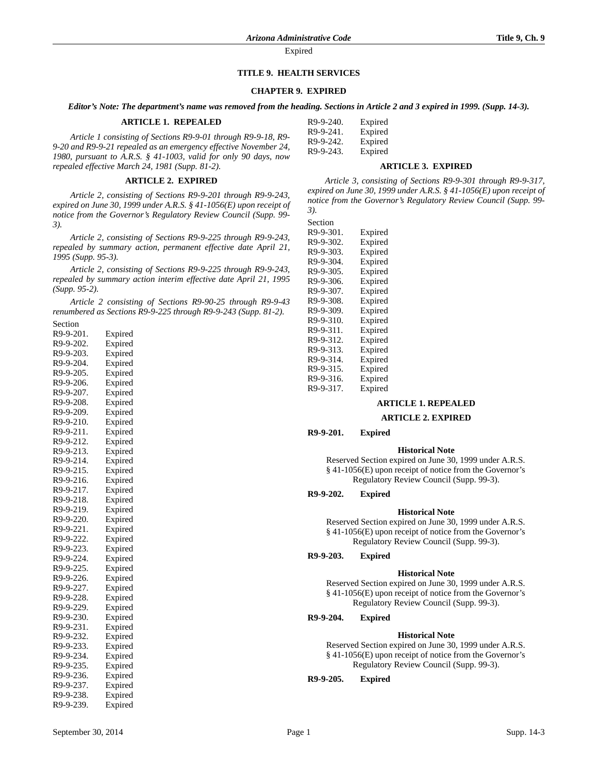# **TITLE 9. HEALTH SERVICES**

## **CHAPTER 9. EXPIRED**

*Editor's Note: The department's name was removed from the heading. Sections in Article 2 and 3 expired in 1999. (Supp. 14-3).*

### **ARTICLE 1. REPEALED**

*Article 1 consisting of Sections R9-9-01 through R9-9-18, R9- 9-20 and R9-9-21 repealed as an emergency effective November 24, 1980, pursuant to A.R.S. § 41-1003, valid for only 90 days, now repealed effective March 24, 1981 (Supp. 81-2).*

#### **ARTICLE 2. EXPIRED**

*Article 2, consisting of Sections R9-9-201 through R9-9-243, expired on June 30, 1999 under A.R.S. § 41-1056(E) upon receipt of notice from the Governor's Regulatory Review Council (Supp. 99- 3).*

*Article 2, consisting of Sections R9-9-225 through R9-9-243, repealed by summary action, permanent effective date April 21, 1995 (Supp. 95-3).*

*Article 2, consisting of Sections R9-9-225 through R9-9-243, repealed by summary action interim effective date April 21, 1995 (Supp. 95-2).*

*Article 2 consisting of Sections R9-90-25 through R9-9-43 renumbered as Sections R9-9-225 through R9-9-243 (Supp. 81-2).*

| Section   |         |
|-----------|---------|
| R9-9-201. | Expired |
| R9-9-202. | Expired |
| R9-9-203. | Expired |
| R9-9-204. | Expired |
| R9-9-205. | Expired |
| R9-9-206. | Expired |
| R9-9-207. | Expired |
| R9-9-208. | Expired |
| R9-9-209. | Expired |
| R9-9-210. | Expired |
| R9-9-211. | Expired |
| R9-9-212. | Expired |
| R9-9-213. | Expired |
| R9-9-214. | Expired |
| R9-9-215. | Expired |
| R9-9-216. | Expired |
| R9-9-217. | Expired |
| R9-9-218. | Expired |
| R9-9-219. | Expired |
| R9-9-220. | Expired |
| R9-9-221. | Expired |
| R9-9-222. | Expired |
| R9-9-223. | Expired |
| R9-9-224. | Expired |
| R9-9-225. | Expired |
| R9-9-226. | Expired |
| R9-9-227. | Expired |
| R9-9-228. | Expired |
| R9-9-229. | Expired |
| R9-9-230. | Expired |
| R9-9-231. | Expired |
| R9-9-232. | Expired |
| R9-9-233. | Expired |
| R9-9-234. | Expired |
| R9-9-235. | Expired |
| R9-9-236. | Expired |
| R9-9-237. | Expired |
| R9-9-238. | Expired |
| R9-9-239. | Expired |

| R9-9-240. | Expired |
|-----------|---------|
| R9-9-241. | Expired |
| R9-9-242. | Expired |
| R9-9-243. | Expired |

#### **ARTICLE 3. EXPIRED**

*Article 3, consisting of Sections R9-9-301 through R9-9-317, expired on June 30, 1999 under A.R.S. § 41-1056(E) upon receipt of notice from the Governor's Regulatory Review Council (Supp. 99- 3).*

Section

| Expired |
|---------|
| Expired |
| Expired |
| Expired |
| Expired |
| Expired |
| Expired |
| Expired |
| Expired |
| Expired |
| Expired |
| Expired |
| Expired |
| Expired |
| Expired |
| Expired |
| Expired |
|         |

# **ARTICLE 1. REPEALED**

#### **ARTICLE 2. EXPIRED**

### **R9-9-201. Expired**

### **Historical Note**

Reserved Section expired on June 30, 1999 under A.R.S. § 41-1056(E) upon receipt of notice from the Governor's Regulatory Review Council (Supp. 99-3).

**R9-9-202. Expired**

#### **Historical Note**

Reserved Section expired on June 30, 1999 under A.R.S. § 41-1056(E) upon receipt of notice from the Governor's Regulatory Review Council (Supp. 99-3).

#### **R9-9-203. Expired**

#### **Historical Note**

Reserved Section expired on June 30, 1999 under A.R.S. § 41-1056(E) upon receipt of notice from the Governor's Regulatory Review Council (Supp. 99-3).

**R9-9-204. Expired**

#### **Historical Note**

Reserved Section expired on June 30, 1999 under A.R.S. § 41-1056(E) upon receipt of notice from the Governor's Regulatory Review Council (Supp. 99-3).

### **R9-9-205. Expired**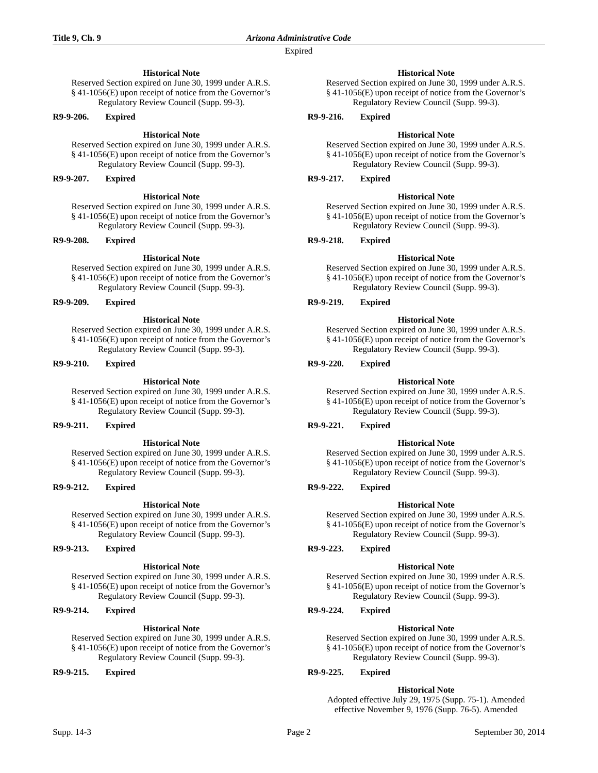# **Historical Note**

Reserved Section expired on June 30, 1999 under A.R.S. § 41-1056(E) upon receipt of notice from the Governor's Regulatory Review Council (Supp. 99-3).

### **R9-9-206. Expired**

## **Historical Note**

Reserved Section expired on June 30, 1999 under A.R.S. § 41-1056(E) upon receipt of notice from the Governor's Regulatory Review Council (Supp. 99-3).

**R9-9-207. Expired**

### **Historical Note**

Reserved Section expired on June 30, 1999 under A.R.S. § 41-1056(E) upon receipt of notice from the Governor's Regulatory Review Council (Supp. 99-3).

### **R9-9-208. Expired**

### **Historical Note**

Reserved Section expired on June 30, 1999 under A.R.S. § 41-1056(E) upon receipt of notice from the Governor's Regulatory Review Council (Supp. 99-3).

**R9-9-209. Expired**

# **Historical Note**

Reserved Section expired on June 30, 1999 under A.R.S. § 41-1056(E) upon receipt of notice from the Governor's Regulatory Review Council (Supp. 99-3).

**R9-9-210. Expired**

### **Historical Note**

Reserved Section expired on June 30, 1999 under A.R.S. § 41-1056(E) upon receipt of notice from the Governor's Regulatory Review Council (Supp. 99-3).

### **R9-9-211. Expired**

### **Historical Note**

Reserved Section expired on June 30, 1999 under A.R.S. § 41-1056(E) upon receipt of notice from the Governor's Regulatory Review Council (Supp. 99-3).

## **R9-9-212. Expired**

# **Historical Note**

Reserved Section expired on June 30, 1999 under A.R.S. § 41-1056(E) upon receipt of notice from the Governor's Regulatory Review Council (Supp. 99-3).

### **R9-9-213. Expired**

### **Historical Note**

Reserved Section expired on June 30, 1999 under A.R.S. § 41-1056(E) upon receipt of notice from the Governor's Regulatory Review Council (Supp. 99-3).

# **R9-9-214. Expired**

# **Historical Note**

Reserved Section expired on June 30, 1999 under A.R.S. § 41-1056(E) upon receipt of notice from the Governor's Regulatory Review Council (Supp. 99-3).

**R9-9-215. Expired**

# **Historical Note**

Reserved Section expired on June 30, 1999 under A.R.S. § 41-1056(E) upon receipt of notice from the Governor's Regulatory Review Council (Supp. 99-3).

# **R9-9-216. Expired**

# **Historical Note**

Reserved Section expired on June 30, 1999 under A.R.S. § 41-1056(E) upon receipt of notice from the Governor's Regulatory Review Council (Supp. 99-3).

# **R9-9-217. Expired**

### **Historical Note**

Reserved Section expired on June 30, 1999 under A.R.S. § 41-1056(E) upon receipt of notice from the Governor's Regulatory Review Council (Supp. 99-3).

# **R9-9-218. Expired**

# **Historical Note**

Reserved Section expired on June 30, 1999 under A.R.S. § 41-1056(E) upon receipt of notice from the Governor's Regulatory Review Council (Supp. 99-3).

**R9-9-219. Expired**

### **Historical Note**

Reserved Section expired on June 30, 1999 under A.R.S. § 41-1056(E) upon receipt of notice from the Governor's Regulatory Review Council (Supp. 99-3).

**R9-9-220. Expired**

### **Historical Note**

Reserved Section expired on June 30, 1999 under A.R.S. § 41-1056(E) upon receipt of notice from the Governor's Regulatory Review Council (Supp. 99-3).

# **R9-9-221. Expired**

### **Historical Note**

Reserved Section expired on June 30, 1999 under A.R.S. § 41-1056(E) upon receipt of notice from the Governor's Regulatory Review Council (Supp. 99-3).

### **R9-9-222. Expired**

### **Historical Note**

Reserved Section expired on June 30, 1999 under A.R.S. § 41-1056(E) upon receipt of notice from the Governor's Regulatory Review Council (Supp. 99-3).

### **R9-9-223. Expired**

### **Historical Note**

Reserved Section expired on June 30, 1999 under A.R.S. § 41-1056(E) upon receipt of notice from the Governor's Regulatory Review Council (Supp. 99-3).

# **R9-9-224. Expired**

### **Historical Note**

Reserved Section expired on June 30, 1999 under A.R.S. § 41-1056(E) upon receipt of notice from the Governor's Regulatory Review Council (Supp. 99-3).

# **R9-9-225. Expired**

# **Historical Note**

Adopted effective July 29, 1975 (Supp. 75-1). Amended effective November 9, 1976 (Supp. 76-5). Amended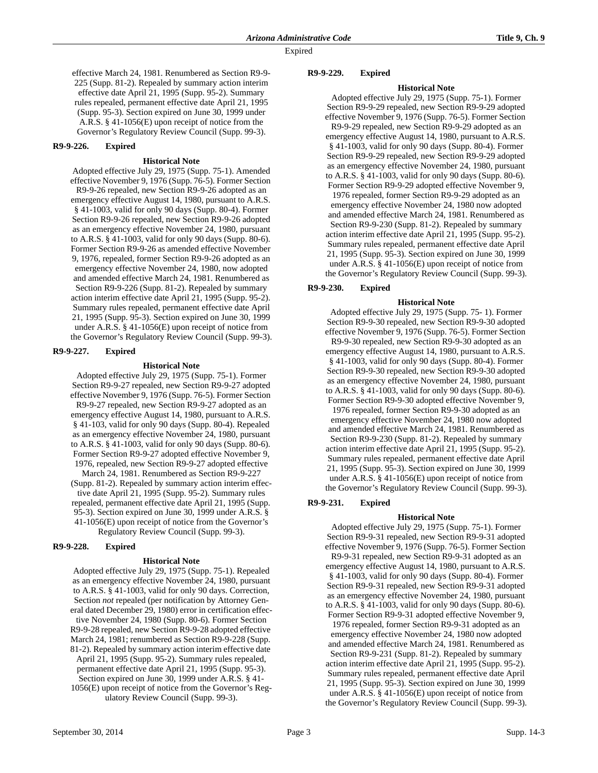effective March 24, 1981. Renumbered as Section R9-9- 225 (Supp. 81-2). Repealed by summary action interim effective date April 21, 1995 (Supp. 95-2). Summary rules repealed, permanent effective date April 21, 1995 (Supp. 95-3). Section expired on June 30, 1999 under A.R.S. § 41-1056(E) upon receipt of notice from the Governor's Regulatory Review Council (Supp. 99-3).

### **R9-9-226. Expired**

#### **Historical Note**

Adopted effective July 29, 1975 (Supp. 75-1). Amended effective November 9, 1976 (Supp. 76-5). Former Section R9-9-26 repealed, new Section R9-9-26 adopted as an emergency effective August 14, 1980, pursuant to A.R.S. § 41-1003, valid for only 90 days (Supp. 80-4). Former Section R9-9-26 repealed, new Section R9-9-26 adopted as an emergency effective November 24, 1980, pursuant to A.R.S. § 41-1003, valid for only 90 days (Supp. 80-6). Former Section R9-9-26 as amended effective November 9, 1976, repealed, former Section R9-9-26 adopted as an emergency effective November 24, 1980, now adopted and amended effective March 24, 1981. Renumbered as Section R9-9-226 (Supp. 81-2). Repealed by summary action interim effective date April 21, 1995 (Supp. 95-2). Summary rules repealed, permanent effective date April 21, 1995 (Supp. 95-3). Section expired on June 30, 1999 under A.R.S. § 41-1056(E) upon receipt of notice from the Governor's Regulatory Review Council (Supp. 99-3).

#### **R9-9-227. Expired**

#### **Historical Note**

Adopted effective July 29, 1975 (Supp. 75-1). Former Section R9-9-27 repealed, new Section R9-9-27 adopted effective November 9, 1976 (Supp. 76-5). Former Section R9-9-27 repealed, new Section R9-9-27 adopted as an emergency effective August 14, 1980, pursuant to A.R.S. § 41-103, valid for only 90 days (Supp. 80-4). Repealed as an emergency effective November 24, 1980, pursuant to A.R.S. § 41-1003, valid for only 90 days (Supp. 80-6). Former Section R9-9-27 adopted effective November 9, 1976, repealed, new Section R9-9-27 adopted effective March 24, 1981. Renumbered as Section R9-9-227 (Supp. 81-2). Repealed by summary action interim effective date April 21, 1995 (Supp. 95-2). Summary rules repealed, permanent effective date April 21, 1995 (Supp. 95-3). Section expired on June 30, 1999 under A.R.S. § 41-1056(E) upon receipt of notice from the Governor's

Regulatory Review Council (Supp. 99-3).

## **R9-9-228. Expired**

#### **Historical Note**

Adopted effective July 29, 1975 (Supp. 75-1). Repealed as an emergency effective November 24, 1980, pursuant to A.R.S. § 41-1003, valid for only 90 days. Correction, Section *not* repealed (per notification by Attorney General dated December 29, 1980) error in certification effective November 24, 1980 (Supp. 80-6). Former Section R9-9-28 repealed, new Section R9-9-28 adopted effective March 24, 1981; renumbered as Section R9-9-228 (Supp. 81-2). Repealed by summary action interim effective date April 21, 1995 (Supp. 95-2). Summary rules repealed, permanent effective date April 21, 1995 (Supp. 95-3). Section expired on June 30, 1999 under A.R.S. § 41- 1056(E) upon receipt of notice from the Governor's Regulatory Review Council (Supp. 99-3).

### **R9-9-229. Expired**

# **Historical Note**

Adopted effective July 29, 1975 (Supp. 75-1). Former Section R9-9-29 repealed, new Section R9-9-29 adopted effective November 9, 1976 (Supp. 76-5). Former Section R9-9-29 repealed, new Section R9-9-29 adopted as an emergency effective August 14, 1980, pursuant to A.R.S. § 41-1003, valid for only 90 days (Supp. 80-4). Former Section R9-9-29 repealed, new Section R9-9-29 adopted as an emergency effective November 24, 1980, pursuant to A.R.S. § 41-1003, valid for only 90 days (Supp. 80-6). Former Section R9-9-29 adopted effective November 9, 1976 repealed, former Section R9-9-29 adopted as an emergency effective November 24, 1980 now adopted and amended effective March 24, 1981. Renumbered as Section R9-9-230 (Supp. 81-2). Repealed by summary action interim effective date April 21, 1995 (Supp. 95-2). Summary rules repealed, permanent effective date April 21, 1995 (Supp. 95-3). Section expired on June 30, 1999 under A.R.S. § 41-1056(E) upon receipt of notice from the Governor's Regulatory Review Council (Supp. 99-3).

### **R9-9-230. Expired**

#### **Historical Note**

Adopted effective July 29, 1975 (Supp. 75- 1). Former Section R9-9-30 repealed, new Section R9-9-30 adopted effective November 9, 1976 (Supp. 76-5). Former Section R9-9-30 repealed, new Section R9-9-30 adopted as an emergency effective August 14, 1980, pursuant to A.R.S. § 41-1003, valid for only 90 days (Supp. 80-4). Former Section R9-9-30 repealed, new Section R9-9-30 adopted as an emergency effective November 24, 1980, pursuant to A.R.S. § 41-1003, valid for only 90 days (Supp. 80-6). Former Section R9-9-30 adopted effective November 9, 1976 repealed, former Section R9-9-30 adopted as an emergency effective November 24, 1980 now adopted and amended effective March 24, 1981. Renumbered as Section R9-9-230 (Supp. 81-2). Repealed by summary action interim effective date April 21, 1995 (Supp. 95-2). Summary rules repealed, permanent effective date April 21, 1995 (Supp. 95-3). Section expired on June 30, 1999 under A.R.S. § 41-1056(E) upon receipt of notice from the Governor's Regulatory Review Council (Supp. 99-3).

### **R9-9-231. Expired**

#### **Historical Note**

Adopted effective July 29, 1975 (Supp. 75-1). Former Section R9-9-31 repealed, new Section R9-9-31 adopted effective November 9, 1976 (Supp. 76-5). Former Section R9-9-31 repealed, new Section R9-9-31 adopted as an emergency effective August 14, 1980, pursuant to A.R.S. § 41-1003, valid for only 90 days (Supp. 80-4). Former Section R9-9-31 repealed, new Section R9-9-31 adopted as an emergency effective November 24, 1980, pursuant to A.R.S. § 41-1003, valid for only 90 days (Supp. 80-6). Former Section R9-9-31 adopted effective November 9, 1976 repealed, former Section R9-9-31 adopted as an emergency effective November 24, 1980 now adopted and amended effective March 24, 1981. Renumbered as Section R9-9-231 (Supp. 81-2). Repealed by summary

action interim effective date April 21, 1995 (Supp. 95-2). Summary rules repealed, permanent effective date April 21, 1995 (Supp. 95-3). Section expired on June 30, 1999 under A.R.S. § 41-1056(E) upon receipt of notice from the Governor's Regulatory Review Council (Supp. 99-3).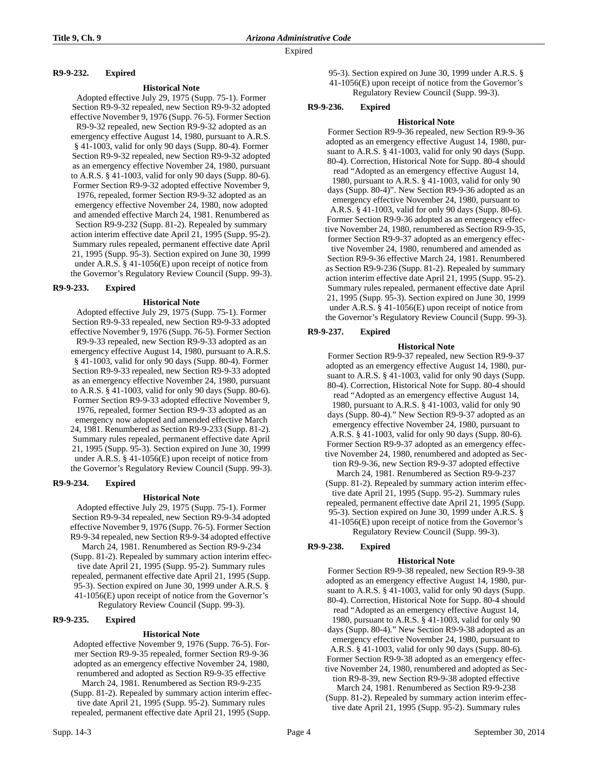# **R9-9-232. Expired**

### **Historical Note**

Adopted effective July 29, 1975 (Supp. 75-1). Former Section R9-9-32 repealed, new Section R9-9-32 adopted effective November 9, 1976 (Supp. 76-5). Former Section R9-9-32 repealed, new Section R9-9-32 adopted as an emergency effective August 14, 1980, pursuant to A.R.S. § 41-1003, valid for only 90 days (Supp. 80-4). Former Section R9-9-32 repealed, new Section R9-9-32 adopted as an emergency effective November 24, 1980, pursuant to A.R.S. § 41-1003, valid for only 90 days (Supp. 80-6). Former Section R9-9-32 adopted effective November 9, 1976, repealed, former Section R9-9-32 adopted as an emergency effective November 24, 1980, now adopted and amended effective March 24, 1981. Renumbered as Section R9-9-232 (Supp. 81-2). Repealed by summary action interim effective date April 21, 1995 (Supp. 95-2). Summary rules repealed, permanent effective date April 21, 1995 (Supp. 95-3). Section expired on June 30, 1999 under A.R.S. § 41-1056(E) upon receipt of notice from the Governor's Regulatory Review Council (Supp. 99-3).

### **R9-9-233. Expired**

#### **Historical Note**

Adopted effective July 29, 1975 (Supp. 75-1). Former Section R9-9-33 repealed, new Section R9-9-33 adopted effective November 9, 1976 (Supp. 76-5). Former Section R9-9-33 repealed, new Section R9-9-33 adopted as an emergency effective August 14, 1980, pursuant to A.R.S. § 41-1003, valid for only 90 days (Supp. 80-4). Former Section R9-9-33 repealed, new Section R9-9-33 adopted as an emergency effective November 24, 1980, pursuant to A.R.S. § 41-1003, valid for only 90 days (Supp. 80-6). Former Section R9-9-33 adopted effective November 9, 1976, repealed, former Section R9-9-33 adopted as an emergency now adopted and amended effective March 24, 1981. Renumbered as Section R9-9-233 (Supp. 81-2). Summary rules repealed, permanent effective date April 21, 1995 (Supp. 95-3). Section expired on June 30, 1999 under A.R.S. § 41-1056(E) upon receipt of notice from the Governor's Regulatory Review Council (Supp. 99-3).

### **R9-9-234. Expired**

#### **Historical Note**

Adopted effective July 29, 1975 (Supp. 75-1). Former Section R9-9-34 repealed, new Section R9-9-34 adopted effective November 9, 1976 (Supp. 76-5). Former Section R9-9-34 repealed, new Section R9-9-34 adopted effective March 24, 1981. Renumbered as Section R9-9-234 (Supp. 81-2). Repealed by summary action interim effective date April 21, 1995 (Supp. 95-2). Summary rules repealed, permanent effective date April 21, 1995 (Supp.

95-3). Section expired on June 30, 1999 under A.R.S. § 41-1056(E) upon receipt of notice from the Governor's

Regulatory Review Council (Supp. 99-3).

### **R9-9-235. Expired**

### **Historical Note**

Adopted effective November 9, 1976 (Supp. 76-5). Former Section R9-9-35 repealed, former Section R9-9-36 adopted as an emergency effective November 24, 1980, renumbered and adopted as Section R9-9-35 effective March 24, 1981. Renumbered as Section R9-9-235

(Supp. 81-2). Repealed by summary action interim effective date April 21, 1995 (Supp. 95-2). Summary rules repealed, permanent effective date April 21, 1995 (Supp.

- 95-3). Section expired on June 30, 1999 under A.R.S. § 41-1056(E) upon receipt of notice from the Governor's
	- Regulatory Review Council (Supp. 99-3).

### **R9-9-236. Expired**

### **Historical Note**

Former Section R9-9-36 repealed, new Section R9-9-36 adopted as an emergency effective August 14, 1980, pursuant to A.R.S. § 41-1003, valid for only 90 days (Supp. 80-4). Correction, Historical Note for Supp. 80-4 should read "Adopted as an emergency effective August 14, 1980, pursuant to A.R.S. § 41-1003, valid for only 90 days (Supp. 80-4)". New Section R9-9-36 adopted as an emergency effective November 24, 1980, pursuant to A.R.S. § 41-1003, valid for only 90 days (Supp. 80-6). Former Section R9-9-36 adopted as an emergency effective November 24, 1980, renumbered as Section R9-9-35, former Section R9-9-37 adopted as an emergency effective November 24, 1980, renumbered and amended as Section R9-9-36 effective March 24, 1981. Renumbered as Section R9-9-236 (Supp. 81-2). Repealed by summary action interim effective date April 21, 1995 (Supp. 95-2). Summary rules repealed, permanent effective date April 21, 1995 (Supp. 95-3). Section expired on June 30, 1999 under A.R.S. § 41-1056(E) upon receipt of notice from the Governor's Regulatory Review Council (Supp. 99-3).

## **R9-9-237. Expired**

### **Historical Note**

Former Section R9-9-37 repealed, new Section R9-9-37 adopted as an emergency effective August 14, 1980, pursuant to A.R.S. § 41-1003, valid for only 90 days (Supp. 80-4). Correction, Historical Note for Supp. 80-4 should read "Adopted as an emergency effective August 14, 1980, pursuant to A.R.S. § 41-1003, valid for only 90 days (Supp. 80-4)." New Section R9-9-37 adopted as an emergency effective November 24, 1980, pursuant to A.R.S. § 41-1003, valid for only 90 days (Supp. 80-6). Former Section R9-9-37 adopted as an emergency effective November 24, 1980, renumbered and adopted as Section R9-9-36, new Section R9-9-37 adopted effective March 24, 1981. Renumbered as Section R9-9-237 (Supp. 81-2). Repealed by summary action interim effective date April 21, 1995 (Supp. 95-2). Summary rules repealed, permanent effective date April 21, 1995 (Supp. 95-3). Section expired on June 30, 1999 under A.R.S. § 41-1056(E) upon receipt of notice from the Governor's Regulatory Review Council (Supp. 99-3).

# **R9-9-238. Expired**

### **Historical Note**

Former Section R9-9-38 repealed, new Section R9-9-38 adopted as an emergency effective August 14, 1980, pursuant to A.R.S. § 41-1003, valid for only 90 days (Supp. 80-4). Correction, Historical Note for Supp. 80-4 should read "Adopted as an emergency effective August 14, 1980, pursuant to A.R.S. § 41-1003, valid for only 90

days (Supp. 80-4)." New Section R9-9-38 adopted as an emergency effective November 24, 1980, pursuant to A.R.S. § 41-1003, valid for only 90 days (Supp. 80-6).

Former Section R9-9-38 adopted as an emergency effective November 24, 1980, renumbered and adopted as Section R9-8-39, new Section R9-9-38 adopted effective

March 24, 1981. Renumbered as Section R9-9-238 (Supp. 81-2). Repealed by summary action interim effec-

tive date April 21, 1995 (Supp. 95-2). Summary rules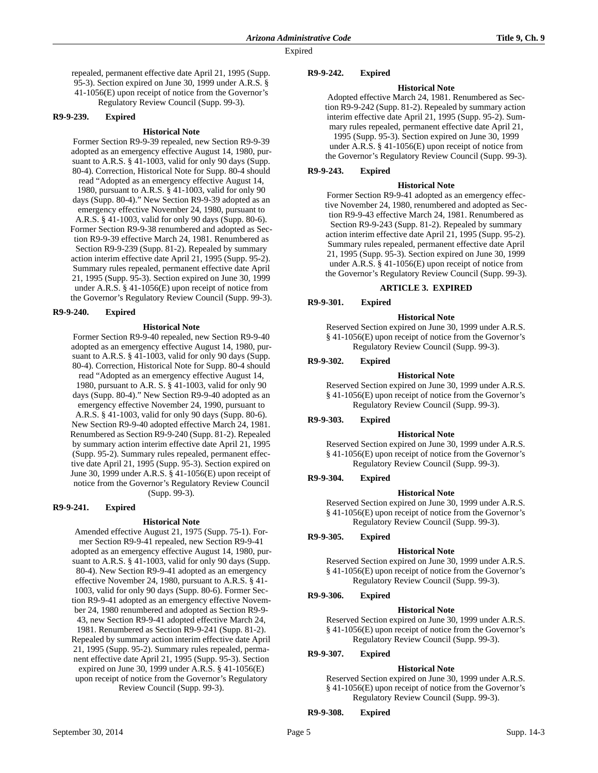repealed, permanent effective date April 21, 1995 (Supp. 95-3). Section expired on June 30, 1999 under A.R.S. § 41-1056(E) upon receipt of notice from the Governor's Regulatory Review Council (Supp. 99-3).

### **R9-9-239. Expired**

### **Historical Note**

Former Section R9-9-39 repealed, new Section R9-9-39 adopted as an emergency effective August 14, 1980, pursuant to A.R.S. § 41-1003, valid for only 90 days (Supp. 80-4). Correction, Historical Note for Supp. 80-4 should read "Adopted as an emergency effective August 14, 1980, pursuant to A.R.S. § 41-1003, valid for only 90 days (Supp. 80-4)." New Section R9-9-39 adopted as an emergency effective November 24, 1980, pursuant to A.R.S. § 41-1003, valid for only 90 days (Supp. 80-6). Former Section R9-9-38 renumbered and adopted as Section R9-9-39 effective March 24, 1981. Renumbered as Section R9-9-239 (Supp. 81-2). Repealed by summary action interim effective date April 21, 1995 (Supp. 95-2). Summary rules repealed, permanent effective date April 21, 1995 (Supp. 95-3). Section expired on June 30, 1999 under A.R.S. § 41-1056(E) upon receipt of notice from the Governor's Regulatory Review Council (Supp. 99-3).

#### **R9-9-240. Expired**

#### **Historical Note**

Former Section R9-9-40 repealed, new Section R9-9-40 adopted as an emergency effective August 14, 1980, pursuant to A.R.S. § 41-1003, valid for only 90 days (Supp. 80-4). Correction, Historical Note for Supp. 80-4 should read "Adopted as an emergency effective August 14, 1980, pursuant to A.R. S. § 41-1003, valid for only 90 days (Supp. 80-4)." New Section R9-9-40 adopted as an emergency effective November 24, 1990, pursuant to A.R.S. § 41-1003, valid for only 90 days (Supp. 80-6). New Section R9-9-40 adopted effective March 24, 1981. Renumbered as Section R9-9-240 (Supp. 81-2). Repealed by summary action interim effective date April 21, 1995 (Supp. 95-2). Summary rules repealed, permanent effective date April 21, 1995 (Supp. 95-3). Section expired on June 30, 1999 under A.R.S. § 41-1056(E) upon receipt of notice from the Governor's Regulatory Review Council (Supp. 99-3).

#### **R9-9-241. Expired**

### **Historical Note**

Amended effective August 21, 1975 (Supp. 75-1). Former Section R9-9-41 repealed, new Section R9-9-41 adopted as an emergency effective August 14, 1980, pursuant to A.R.S. § 41-1003, valid for only 90 days (Supp. 80-4). New Section R9-9-41 adopted as an emergency effective November 24, 1980, pursuant to A.R.S. § 41- 1003, valid for only 90 days (Supp. 80-6). Former Section R9-9-41 adopted as an emergency effective November 24, 1980 renumbered and adopted as Section R9-9- 43, new Section R9-9-41 adopted effective March 24, 1981. Renumbered as Section R9-9-241 (Supp. 81-2). Repealed by summary action interim effective date April 21, 1995 (Supp. 95-2). Summary rules repealed, permanent effective date April 21, 1995 (Supp. 95-3). Section expired on June 30, 1999 under A.R.S. § 41-1056(E) upon receipt of notice from the Governor's Regulatory Review Council (Supp. 99-3).

### **R9-9-242. Expired**

### **Historical Note**

Adopted effective March 24, 1981. Renumbered as Section R9-9-242 (Supp. 81-2). Repealed by summary action interim effective date April 21, 1995 (Supp. 95-2). Summary rules repealed, permanent effective date April 21, 1995 (Supp. 95-3). Section expired on June 30, 1999 under A.R.S. § 41-1056(E) upon receipt of notice from the Governor's Regulatory Review Council (Supp. 99-3).

### **R9-9-243. Expired**

#### **Historical Note**

Former Section R9-9-41 adopted as an emergency effective November 24, 1980, renumbered and adopted as Section R9-9-43 effective March 24, 1981. Renumbered as Section R9-9-243 (Supp. 81-2). Repealed by summary action interim effective date April 21, 1995 (Supp. 95-2). Summary rules repealed, permanent effective date April 21, 1995 (Supp. 95-3). Section expired on June 30, 1999 under A.R.S. § 41-1056(E) upon receipt of notice from the Governor's Regulatory Review Council (Supp. 99-3).

#### **ARTICLE 3. EXPIRED**

**R9-9-301. Expired**

#### **Historical Note**

Reserved Section expired on June 30, 1999 under A.R.S. § 41-1056(E) upon receipt of notice from the Governor's Regulatory Review Council (Supp. 99-3).

### **R9-9-302. Expired**

#### **Historical Note**

Reserved Section expired on June 30, 1999 under A.R.S. § 41-1056(E) upon receipt of notice from the Governor's Regulatory Review Council (Supp. 99-3).

#### **R9-9-303. Expired**

#### **Historical Note**

Reserved Section expired on June 30, 1999 under A.R.S. § 41-1056(E) upon receipt of notice from the Governor's Regulatory Review Council (Supp. 99-3).

### **R9-9-304. Expired**

### **Historical Note**

Reserved Section expired on June 30, 1999 under A.R.S. § 41-1056(E) upon receipt of notice from the Governor's Regulatory Review Council (Supp. 99-3).

### **R9-9-305. Expired**

#### **Historical Note**

Reserved Section expired on June 30, 1999 under A.R.S. § 41-1056(E) upon receipt of notice from the Governor's Regulatory Review Council (Supp. 99-3).

# **R9-9-306. Expired**

#### **Historical Note**

Reserved Section expired on June 30, 1999 under A.R.S. § 41-1056(E) upon receipt of notice from the Governor's Regulatory Review Council (Supp. 99-3).

#### **R9-9-307. Expired**

### **Historical Note**

Reserved Section expired on June 30, 1999 under A.R.S. § 41-1056(E) upon receipt of notice from the Governor's Regulatory Review Council (Supp. 99-3).

**R9-9-308. Expired**